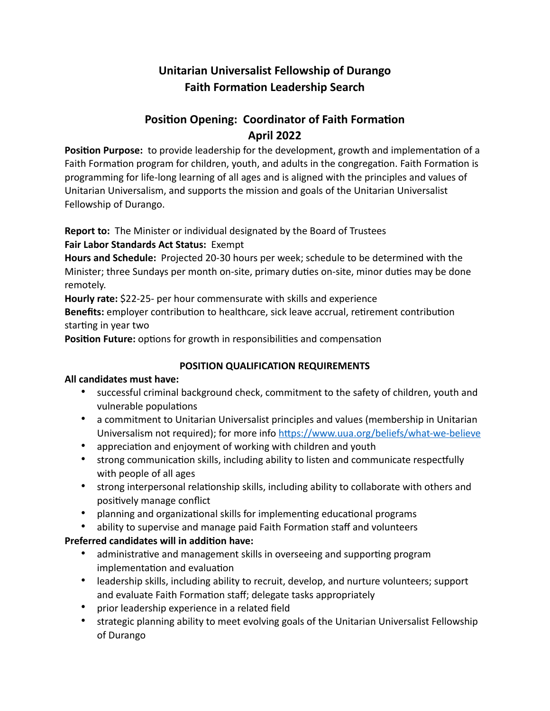# **Unitarian Universalist Fellowship of Durango Faith Formation Leadership Search**

# **Position Opening: Coordinator of Faith Formation April 2022**

**Position Purpose:** to provide leadership for the development, growth and implementation of a Faith Formation program for children, youth, and adults in the congregation. Faith Formation is programming for life-long learning of all ages and is aligned with the principles and values of Unitarian Universalism, and supports the mission and goals of the Unitarian Universalist Fellowship of Durango.

**Report to:** The Minister or individual designated by the Board of Trustees

**Fair Labor Standards Act Status:** Exempt

**Hours and Schedule:** Projected 20-30 hours per week; schedule to be determined with the Minister; three Sundays per month on-site, primary duties on-site, minor duties may be done remotely.

**Hourly rate:** \$22-25- per hour commensurate with skills and experience

**Benefits:** employer contribution to healthcare, sick leave accrual, retirement contribution starting in year two

**Position Future:** options for growth in responsibilities and compensation

## **POSITION QUALIFICATION REQUIREMENTS**

### **All candidates must have:**

- successful criminal background check, commitment to the safety of children, youth and vulnerable populations
- a commitment to Unitarian Universalist principles and values (membership in Unitarian Universalism not required); for more info<https://www.uua.org/beliefs/what-we-believe>
- appreciation and enjoyment of working with children and youth
- strong communication skills, including ability to listen and communicate respectfully with people of all ages
- strong interpersonal relationship skills, including ability to collaborate with others and positively manage conflict
- planning and organizational skills for implementing educational programs
- ability to supervise and manage paid Faith Formation staff and volunteers

## **Preferred candidates will in addition have:**

- administrative and management skills in overseeing and supporting program implementation and evaluation
- leadership skills, including ability to recruit, develop, and nurture volunteers; support and evaluate Faith Formation staff; delegate tasks appropriately
- prior leadership experience in a related field
- strategic planning ability to meet evolving goals of the Unitarian Universalist Fellowship of Durango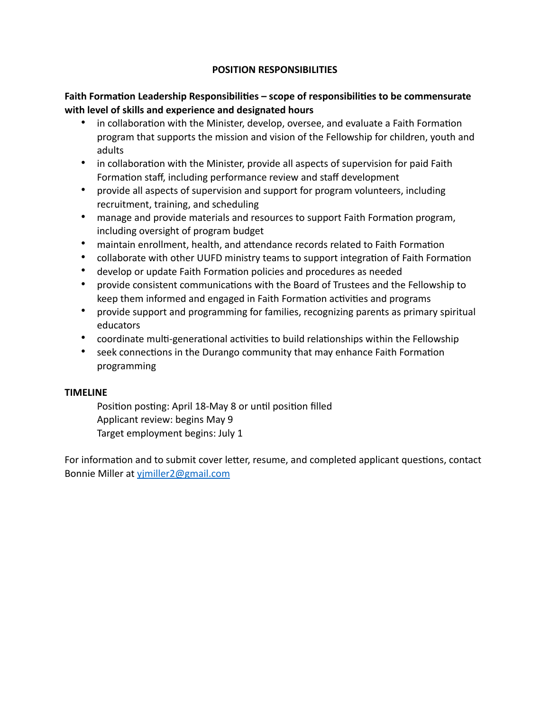### **POSITION RESPONSIBILITIES**

### **Faith Formation Leadership Responsibilities – scope of responsibilities to be commensurate with level of skills and experience and designated hours**

- in collaboration with the Minister, develop, oversee, and evaluate a Faith Formation program that supports the mission and vision of the Fellowship for children, youth and adults
- in collaboration with the Minister, provide all aspects of supervision for paid Faith Formation staff, including performance review and staff development
- provide all aspects of supervision and support for program volunteers, including recruitment, training, and scheduling
- manage and provide materials and resources to support Faith Formation program, including oversight of program budget
- maintain enrollment, health, and attendance records related to Faith Formation
- collaborate with other UUFD ministry teams to support integration of Faith Formation
- develop or update Faith Formation policies and procedures as needed
- provide consistent communications with the Board of Trustees and the Fellowship to keep them informed and engaged in Faith Formation activities and programs
- provide support and programming for families, recognizing parents as primary spiritual educators
- coordinate multi-generational activities to build relationships within the Fellowship
- seek connections in the Durango community that may enhance Faith Formation programming

### **TIMELINE**

Position posting: April 18-May 8 or until position filled Applicant review: begins May 9 Target employment begins: July 1

For information and to submit cover letter, resume, and completed applicant questions, contact Bonnie Miller at [yjmiller2@gmail.com](mailto:yjmiller2@gmail.com)